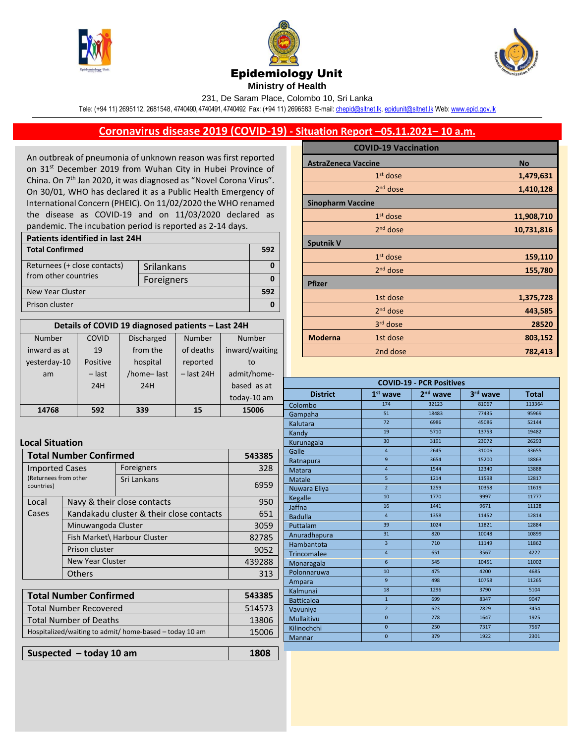





## Epidemiology Unit

**Ministry of Health**  231, De Saram Place, Colombo 10, Sri Lanka

Tele: (+94 11) 2695112, 2681548, 4740490, 4740491, 4740492 Fax: (+94 11) 2696583 E-mail[: chepid@sltnet.lk,](mailto:chepi@sltnet.lk) [epidunit@sltnet.lk](mailto:epidunit@sltnet.lk) Web[: www.epid.gov.lk](http://www.epid.gov.lk/)

## **Coronavirus disease 2019 (COVID-19) - Situation Report –05.11.2021– 10 a.m.**

An outbreak of pneumonia of unknown reason was first reported on 31<sup>st</sup> December 2019 from Wuhan City in Hubei Province of China. On 7<sup>th</sup> Jan 2020, it was diagnosed as "Novel Corona Virus". On 30/01, WHO has declared it as a Public Health Emergency of International Concern (PHEIC). On 11/02/2020 the WHO renamed the disease as COVID-19 and on 11/03/2020 declared as pandemic. The incubation period is reported as 2-14 days.

| Patients identified in last 24H |            |  |  |
|---------------------------------|------------|--|--|
| <b>Total Confirmed</b>          |            |  |  |
| Returnees (+ close contacts)    | Srilankans |  |  |
| from other countries            | Foreigners |  |  |
| <b>New Year Cluster</b>         |            |  |  |
| Prison cluster                  |            |  |  |

| Details of COVID 19 diagnosed patients - Last 24H |          |                   |              |                |
|---------------------------------------------------|----------|-------------------|--------------|----------------|
| Number                                            | COVID    | <b>Discharged</b> | Number       | <b>Number</b>  |
| inward as at                                      | 19       | from the          | of deaths    | inward/waiting |
| yesterday-10                                      | Positive | hospital          | reported     | to             |
| am                                                | $-$ last | /home-last        | $-$ last 24H | admit/home-    |
|                                                   | 24H      | 24H               |              | based as at    |
|                                                   |          |                   |              | today-10 am    |
| 14768                                             | 592      | 339               | 15           | 15006          |

## **Local Situation**

| <b>Total Number Confirmed</b>                                |                                                                           | 543385                      |        |
|--------------------------------------------------------------|---------------------------------------------------------------------------|-----------------------------|--------|
| <b>Imported Cases</b><br>(Returnees from other<br>countries) |                                                                           | Foreigners                  | 328    |
|                                                              |                                                                           | Sri Lankans                 | 6959   |
| Local                                                        |                                                                           | Navy & their close contacts |        |
| Cases                                                        | Kandakadu cluster & their close contacts                                  |                             | 651    |
|                                                              | Minuwangoda Cluster                                                       |                             | 3059   |
|                                                              | Fish Market\ Harbour Cluster<br>Prison cluster<br><b>New Year Cluster</b> |                             | 82785  |
|                                                              |                                                                           |                             | 9052   |
|                                                              |                                                                           |                             | 439288 |
|                                                              | <b>Others</b>                                                             |                             | 313    |
|                                                              |                                                                           |                             |        |

| <b>Total Number Confirmed</b>                           | 543385 |
|---------------------------------------------------------|--------|
| <b>Total Number Recovered</b>                           | 514573 |
| <b>Total Number of Deaths</b>                           | 13806  |
| Hospitalized/waiting to admit/ home-based - today 10 am | 15006  |
|                                                         |        |

**Suspected – today 10 am 1808**

|                            | <b>COVID-19 Vaccination</b> |            |
|----------------------------|-----------------------------|------------|
| <b>AstraZeneca Vaccine</b> |                             | <b>No</b>  |
|                            | $1st$ dose                  | 1,479,631  |
|                            | 2 <sup>nd</sup> dose        | 1,410,128  |
| <b>Sinopharm Vaccine</b>   |                             |            |
|                            | $1st$ dose                  | 11,908,710 |
|                            | $2nd$ dose                  | 10,731,816 |
| <b>Sputnik V</b>           |                             |            |
|                            | $1st$ dose                  | 159,110    |
|                            | 2 <sup>nd</sup> dose        | 155,780    |
| <b>Pfizer</b>              |                             |            |
|                            | 1st dose                    | 1,375,728  |
|                            | $2nd$ dose                  | 443,585    |
|                            | 3rd dose                    | 28520      |
| <b>Moderna</b>             | 1st dose                    | 803,152    |
|                            | 2nd dose                    | 782,413    |

| <b>COVID-19 - PCR Positives</b> |                |                      |          |              |
|---------------------------------|----------------|----------------------|----------|--------------|
| <b>District</b>                 | $1st$ wave     | 2 <sup>nd</sup> wave | 3rd wave | <b>Total</b> |
| Colombo                         | 174            | 32123                | 81067    | 113364       |
| Gampaha                         | 51             | 18483                | 77435    | 95969        |
| Kalutara                        | 72             | 6986                 | 45086    | 52144        |
| Kandy                           | 19             | 5710                 | 13753    | 19482        |
| Kurunagala                      | 30             | 3191                 | 23072    | 26293        |
| Galle                           | $\overline{4}$ | 2645                 | 31006    | 33655        |
| Ratnapura                       | $\overline{9}$ | 3654                 | 15200    | 18863        |
| <b>Matara</b>                   | $\overline{4}$ | 1544                 | 12340    | 13888        |
| <b>Matale</b>                   | $\overline{5}$ | 1214                 | 11598    | 12817        |
| Nuwara Eliya                    | $\overline{2}$ | 1259                 | 10358    | 11619        |
| Kegalle                         | 10             | 1770                 | 9997     | 11777        |
| Jaffna                          | 16             | 1441                 | 9671     | 11128        |
| <b>Badulla</b>                  | $\overline{4}$ | 1358                 | 11452    | 12814        |
| Puttalam                        | 39             | 1024                 | 11821    | 12884        |
| Anuradhapura                    | 31             | 820                  | 10048    | 10899        |
| Hambantota                      | $\overline{3}$ | 710                  | 11149    | 11862        |
| Trincomalee                     | $\overline{4}$ | 651                  | 3567     | 4222         |
| Monaragala                      | 6              | 545                  | 10451    | 11002        |
| Polonnaruwa                     | 10             | 475                  | 4200     | 4685         |
| Ampara                          | $\overline{9}$ | 498                  | 10758    | 11265        |
| Kalmunai                        | 18             | 1296                 | 3790     | 5104         |
| <b>Batticaloa</b>               | $\mathbf{1}$   | 699                  | 8347     | 9047         |
| Vavuniya                        | $\overline{2}$ | 623                  | 2829     | 3454         |
| <b>Mullaitivu</b>               | $\mathbf{0}$   | 278                  | 1647     | 1925         |
| Kilinochchi                     | $\overline{0}$ | 250                  | 7317     | 7567         |
| Mannar                          | $\overline{0}$ | 379                  | 1922     | 2301         |